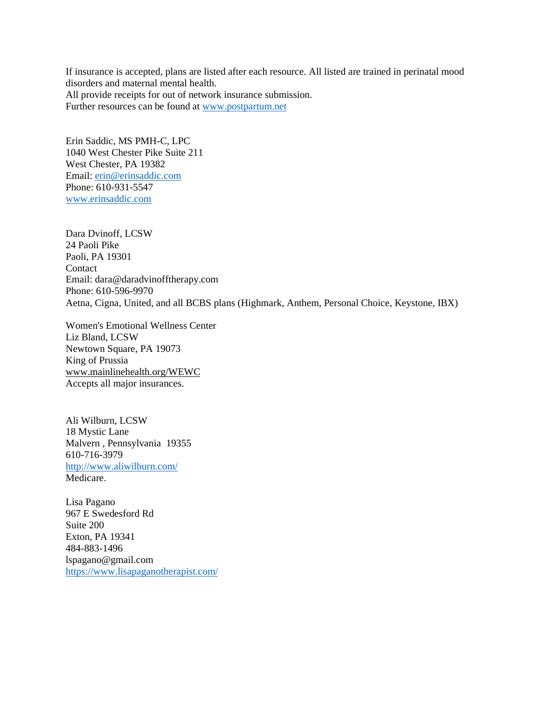If insurance is accepted, plans are listed after each resource. All listed are trained in perinatal mood disorders and maternal mental health. All provide receipts for out of network insurance submission. Further resources can be found at [www.postpartum.net](http://www.postpartum.net/)

Erin Saddic, MS PMH-C, LPC 1040 West Chester Pike Suite 211 West Chester, PA 19382 Email: [erin@erinsaddic.com](mailto:erin@erinsaddic.com) Phone: 610-931-5547 [www.erinsaddic.com](http://www.erinsaddic.com/)

Dara Dvinoff, LCSW 24 Paoli Pike Paoli, PA 19301 **Contact** Email: dara@daradvinofftherapy.com Phone: 610-596-9970 Aetna, Cigna, United, and all BCBS plans (Highmark, Anthem, Personal Choice, Keystone, IBX)

Women's Emotional Wellness Center Liz Bland, LCSW Newtown Square, PA 19073 King of Prussia [www.mainlinehealth.org/WEWC](http://www.mainlinehealth.org/WEWC) Accepts all major insurances.

Ali Wilburn, LCSW 18 Mystic Lane Malvern , Pennsylvania 19355 610-716-3979 <http://www.aliwilburn.com/> Medicare.

Lisa Pagano 967 E Swedesford Rd Suite 200 Exton, PA 19341 484-883-1496 lspagano@gmail.com <https://www.lisapaganotherapist.com/>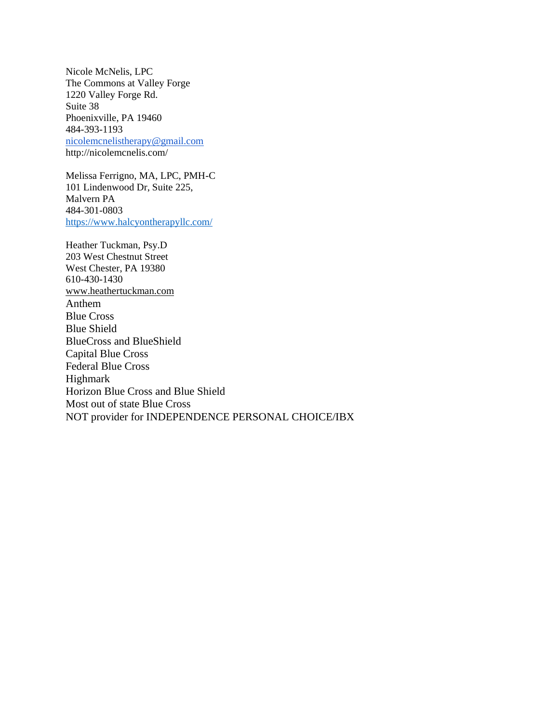Nicole McNelis, LPC The Commons at Valley Forge 1220 Valley Forge Rd. Suite 38 Phoenixville, PA 19460 484-393-1193 [nicolemcnelistherapy@gmail.com](mailto:nicolemcnelistherapy@gmail.com) http://nicolemcnelis.com/

Melissa Ferrigno, MA, LPC, PMH-C 101 Lindenwood Dr, Suite 225, Malvern PA 484-301-0803 <https://www.halcyontherapyllc.com/>

Heather Tuckman, Psy.D 203 West Chestnut Street West Chester, PA 19380 610-430-1430 [www.heathertuckman.com](http://www.heathertuckman.com/) Anthem Blue Cross Blue Shield BlueCross and BlueShield Capital Blue Cross Federal Blue Cross Highmark Horizon Blue Cross and Blue Shield Most out of state Blue Cross NOT provider for INDEPENDENCE PERSONAL CHOICE/IBX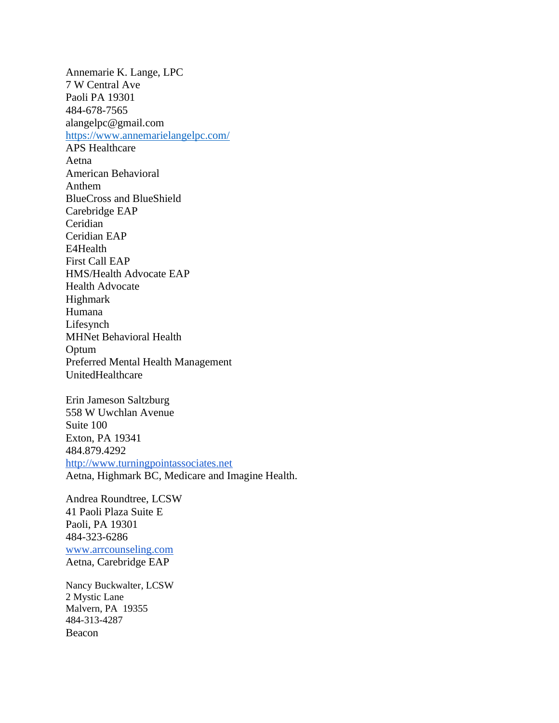Annemarie K. Lange, LPC 7 W Central Ave Paoli PA 19301 484-678-7565 alangelpc@gmail.com <https://www.annemarielangelpc.com/> APS Healthcare Aetna American Behavioral Anthem BlueCross and BlueShield Carebridge EAP Ceridian Ceridian EAP E4Health First Call EAP HMS/Health Advocate EAP Health Advocate Highmark Humana Lifesynch MHNet Behavioral Health Optum Preferred Mental Health Management UnitedHealthcare Erin Jameson Saltzburg

558 W Uwchlan Avenue Suite 100 Exton, PA 19341 484.879.4292 [http://www.turningpointassociates.net](http://www.turningpointassociates.net/) Aetna, Highmark BC, Medicare and Imagine Health.

Andrea Roundtree, LCSW 41 Paoli Plaza Suite E Paoli, PA 19301 484-323-6286 [www.arrcounseling.com](http://www.arrcounseling.com/) Aetna, Carebridge EAP

Nancy Buckwalter, LCSW 2 Mystic Lane Malvern, PA 19355 484-313-4287 Beacon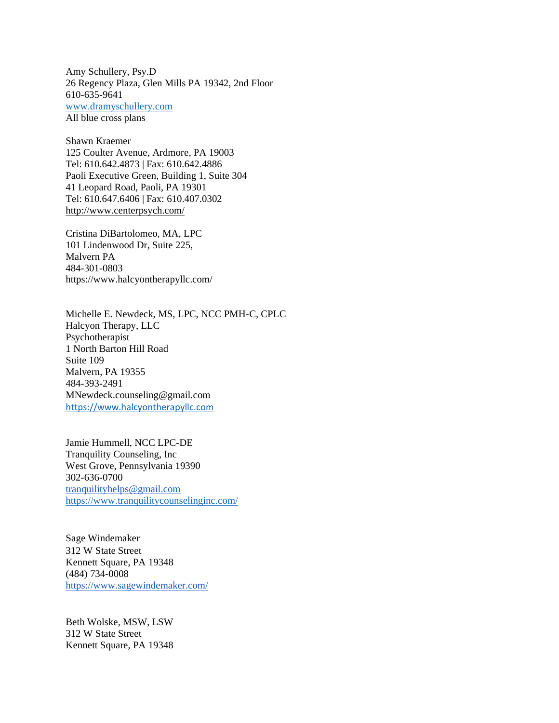Amy Schullery, Psy.D 26 Regency Plaza, Glen Mills PA 19342, 2nd Floor 610-635-9641 [www.dramyschullery.com](http://www.dramyschullery.com/) All blue cross plans

Shawn Kraemer 125 Coulter Avenue, Ardmore, PA 19003 Tel: 610.642.4873 | Fax: 610.642.4886 Paoli Executive Green, Building 1, Suite 304 41 Leopard Road, Paoli, PA 19301 Tel: 610.647.6406 | Fax: 610.407.0302 <http://www.centerpsych.com/>

Cristina DiBartolomeo, MA, LPC 101 Lindenwood Dr, Suite 225, Malvern PA 484-301-0803 https://www.halcyontherapyllc.com/

Michelle E. Newdeck, MS, LPC, NCC PMH-C, CPLC Halcyon Therapy, LLC Psychotherapist 1 North Barton Hill Road Suite 109 Malvern, PA 19355 484-393-2491 MNewdeck.counseling@gmail.com [https://www.halcyontherapyllc.com](https://www.halcyontherapyllc.com/)

Jamie Hummell, NCC LPC-DE Tranquility Counseling, Inc West Grove, Pennsylvania 19390 302-636-0700 [tranquilityhelps@gmail.com](mailto:tranquilityhelps@gmail.com) <https://www.tranquilitycounselinginc.com/>

Sage Windemaker 312 W State Street Kennett Square, PA 19348 (484) 734-0008 <https://www.sagewindemaker.com/>

Beth Wolske, MSW, LSW 312 W State Street Kennett Square, PA 19348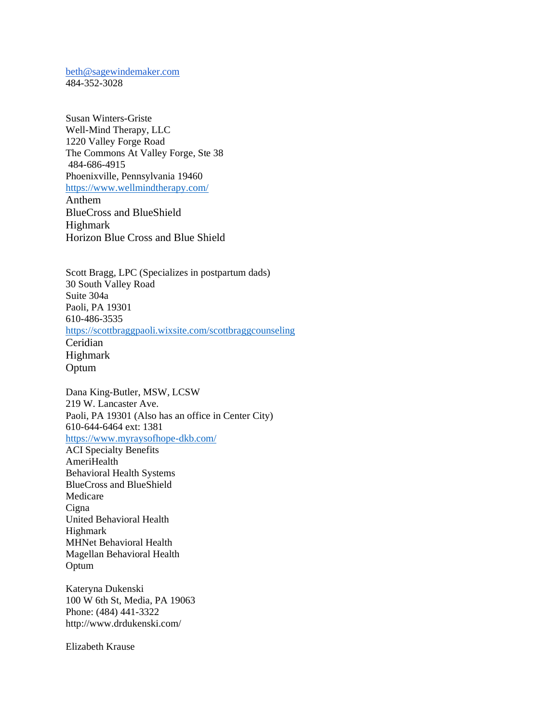[beth@sagewindemaker.com](mailto:beth@sagewindemaker.com) 484-352-3028

Susan Winters-Griste Well-Mind Therapy, LLC 1220 Valley Forge Road The Commons At Valley Forge, Ste 38 484-686-4915 Phoenixville, Pennsylvania 19460 <https://www.wellmindtherapy.com/> Anthem BlueCross and BlueShield Highmark

Horizon Blue Cross and Blue Shield

Scott Bragg, LPC (Specializes in postpartum dads) 30 South Valley Road Suite 304a Paoli, PA 19301 610-486-3535 <https://scottbraggpaoli.wixsite.com/scottbraggcounseling> Ceridian Highmark Optum

Dana King-Butler, MSW, LCSW 219 W. Lancaster Ave. Paoli, PA 19301 (Also has an office in Center City) 610-644-6464 ext: 1381 <https://www.myraysofhope-dkb.com/> ACI Specialty Benefits AmeriHealth

Behavioral Health Systems BlueCross and BlueShield Medicare **Cigna** United Behavioral Health Highmark MHNet Behavioral Health Magellan Behavioral Health Optum

Kateryna Dukenski 100 W 6th St, Media, PA 19063 Phone: (484) 441-3322 http://www.drdukenski.com/

Elizabeth Krause